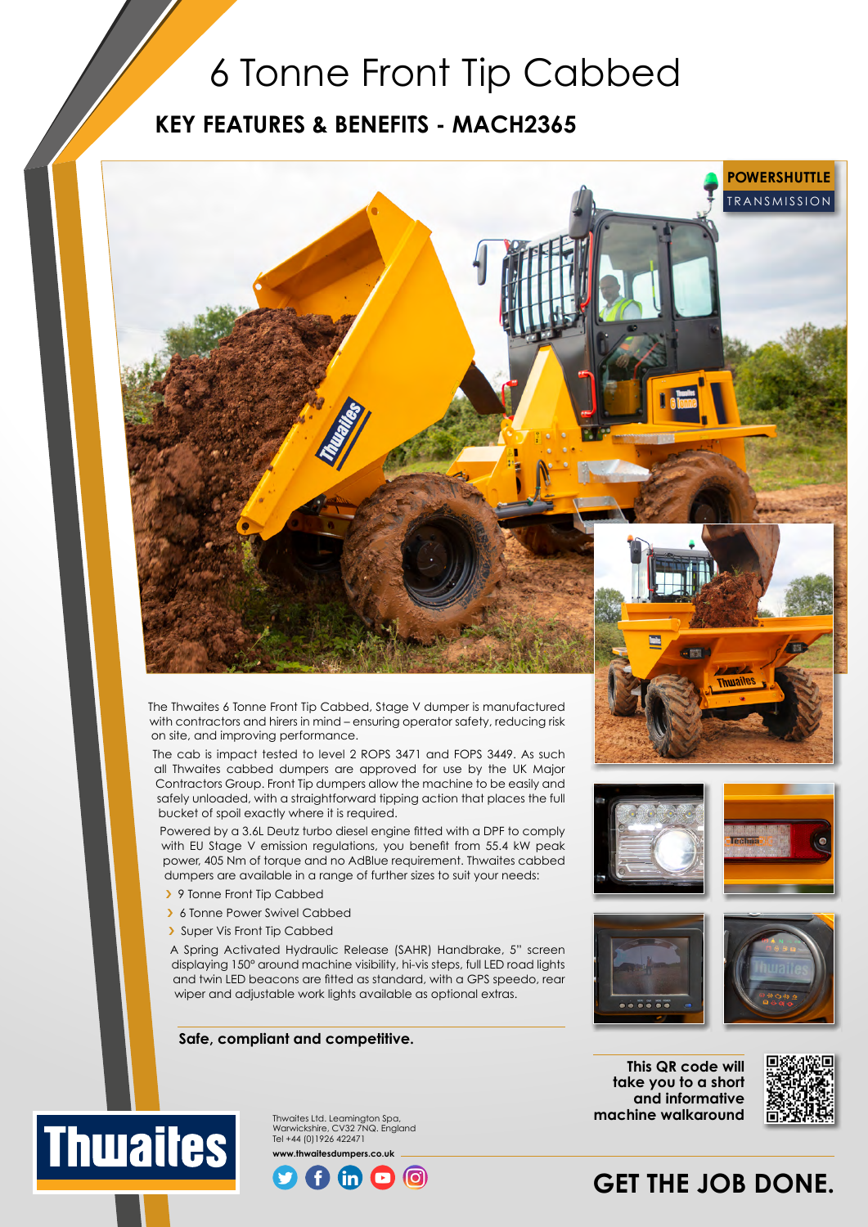## 6 Tonne Front Tip Cabbed

### **KEY FEATURES & BENEFITS - MACH2365**



The Thwaites 6 Tonne Front Tip Cabbed, Stage V dumper is manufactured with contractors and hirers in mind – ensuring operator safety, reducing risk on site, and improving performance.

The cab is impact tested to level 2 ROPS 3471 and FOPS 3449. As such all Thwaites cabbed dumpers are approved for use by the UK Major Contractors Group. Front Tip dumpers allow the machine to be easily and safely unloaded, with a straightforward tipping action that places the full bucket of spoil exactly where it is required.

Powered by a 3.6L Deutz turbo diesel engine fitted with a DPF to comply with EU Stage V emission regulations, you benefit from 55.4 kW peak power, 405 Nm of torque and no AdBlue requirement. Thwaites cabbed dumpers are available in a range of further sizes to suit your needs:

- › 9 Tonne Front Tip Cabbed
- › 6 Tonne Power Swivel Cabbed
- › Super Vis Front Tip Cabbed

**Thuaites** 

A Spring Activated Hydraulic Release (SAHR) Handbrake, 5" screen displaying 150° around machine visibility, hi-vis steps, full LED road lights and twin LED beacons are fitted as standard, with a GPS speedo, rear wiper and adjustable work lights available as optional extras.

#### **Safe, compliant and competitive.**







**This QR code will take you to a short and informative** 



# **machine walkaround**





### **GET THE JOB DONE.**